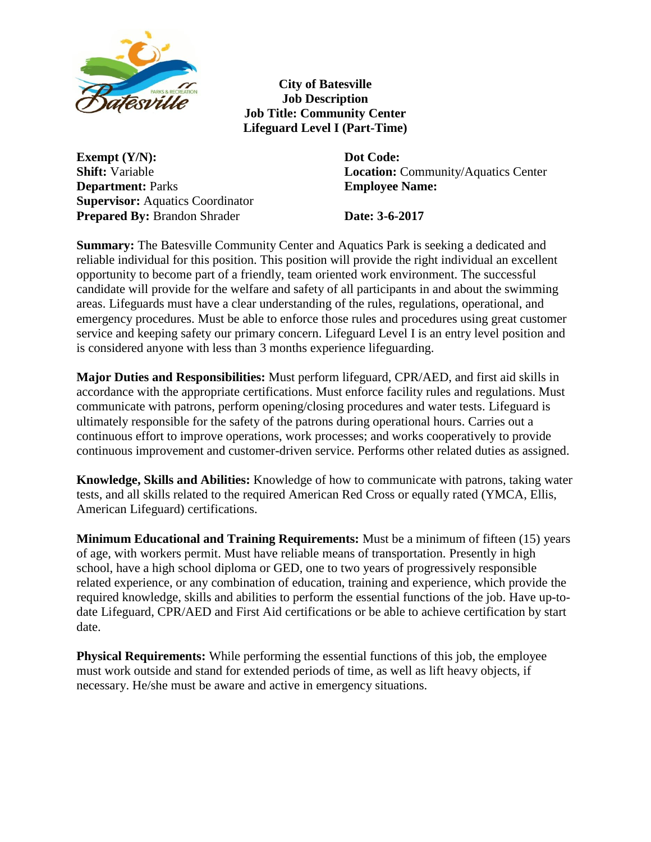

**City of Batesville Job Description Job Title: Community Center Lifeguard Level I (Part-Time)**

**Exempt (Y/N):** Dot Code: **Department:** Parks **Employee Name: Supervisor: Aquatics Coordinator Prepared By:** Brandon Shrader **Date:** 3-6-2017

**Shift:** Variable **Location:** Community/Aquatics Center

**Summary:** The Batesville Community Center and Aquatics Park is seeking a dedicated and reliable individual for this position. This position will provide the right individual an excellent opportunity to become part of a friendly, team oriented work environment. The successful candidate will provide for the welfare and safety of all participants in and about the swimming areas. Lifeguards must have a clear understanding of the rules, regulations, operational, and emergency procedures. Must be able to enforce those rules and procedures using great customer service and keeping safety our primary concern. Lifeguard Level I is an entry level position and is considered anyone with less than 3 months experience lifeguarding.

**Major Duties and Responsibilities:** Must perform lifeguard, CPR/AED, and first aid skills in accordance with the appropriate certifications. Must enforce facility rules and regulations. Must communicate with patrons, perform opening/closing procedures and water tests. Lifeguard is ultimately responsible for the safety of the patrons during operational hours. Carries out a continuous effort to improve operations, work processes; and works cooperatively to provide continuous improvement and customer-driven service. Performs other related duties as assigned.

**Knowledge, Skills and Abilities:** Knowledge of how to communicate with patrons, taking water tests, and all skills related to the required American Red Cross or equally rated (YMCA, Ellis, American Lifeguard) certifications.

**Minimum Educational and Training Requirements:** Must be a minimum of fifteen (15) years of age, with workers permit. Must have reliable means of transportation. Presently in high school, have a high school diploma or GED, one to two years of progressively responsible related experience, or any combination of education, training and experience, which provide the required knowledge, skills and abilities to perform the essential functions of the job. Have up-todate Lifeguard, CPR/AED and First Aid certifications or be able to achieve certification by start date.

**Physical Requirements:** While performing the essential functions of this job, the employee must work outside and stand for extended periods of time, as well as lift heavy objects, if necessary. He/she must be aware and active in emergency situations.